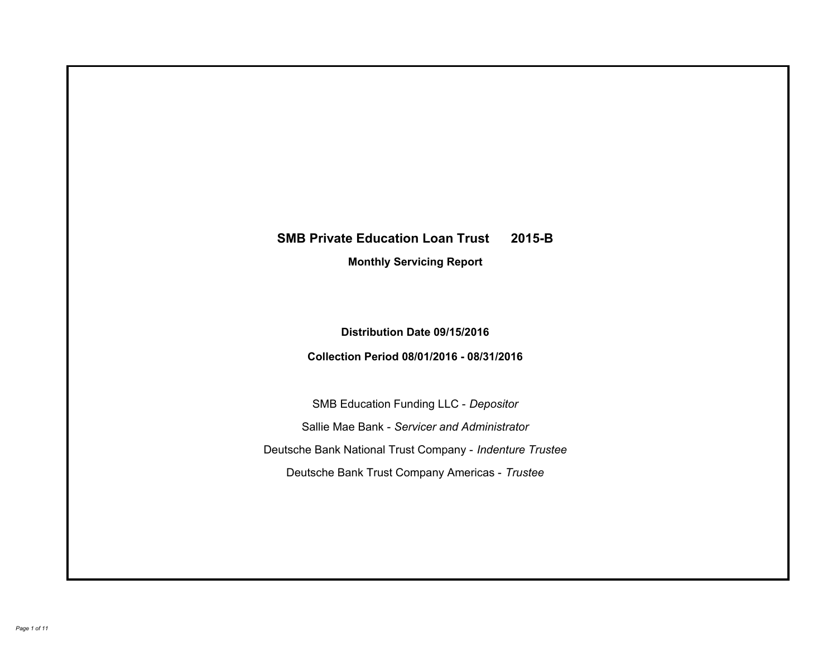# **SMB Private Education Loan Trust 2015-B Monthly Servicing Report**

## **Distribution Date 09/15/2016**

## **Collection Period 08/01/2016 - 08/31/2016**

SMB Education Funding LLC - *Depositor* Sallie Mae Bank - *Servicer and Administrator* Deutsche Bank National Trust Company - *Indenture Trustee* Deutsche Bank Trust Company Americas - *Trustee*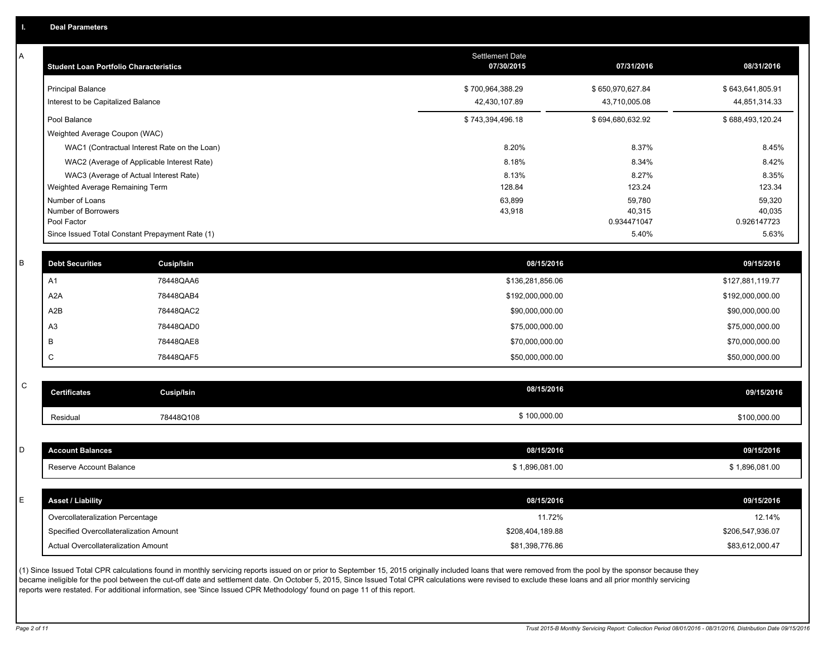A

| A | <b>Student Loan Portfolio Characteristics</b> |                                                 | <b>Settlement Date</b><br>07/30/2015 | 07/31/2016            | 08/31/2016            |
|---|-----------------------------------------------|-------------------------------------------------|--------------------------------------|-----------------------|-----------------------|
|   | <b>Principal Balance</b>                      |                                                 | \$700,964,388.29                     | \$650,970,627.84      | \$643,641,805.91      |
|   | Interest to be Capitalized Balance            |                                                 | 42,430,107.89                        | 43,710,005.08         | 44,851,314.33         |
|   | Pool Balance                                  |                                                 | \$743,394,496.18                     | \$694,680,632.92      | \$688,493,120.24      |
|   | Weighted Average Coupon (WAC)                 |                                                 |                                      |                       |                       |
|   |                                               | WAC1 (Contractual Interest Rate on the Loan)    | 8.20%                                | 8.37%                 | 8.45%                 |
|   |                                               | WAC2 (Average of Applicable Interest Rate)      | 8.18%                                | 8.34%                 | 8.42%                 |
|   |                                               | WAC3 (Average of Actual Interest Rate)          | 8.13%                                | 8.27%                 | 8.35%                 |
|   | Weighted Average Remaining Term               |                                                 | 128.84                               | 123.24                | 123.34                |
|   | Number of Loans                               |                                                 | 63,899                               | 59,780                | 59,320                |
|   | Number of Borrowers<br>Pool Factor            |                                                 | 43,918                               | 40,315<br>0.934471047 | 40,035<br>0.926147723 |
|   |                                               | Since Issued Total Constant Prepayment Rate (1) |                                      | 5.40%                 | 5.63%                 |
|   |                                               |                                                 |                                      |                       |                       |
| R | <b>Debt Securities</b>                        | <b>Cusip/Isin</b>                               | 08/15/2016                           |                       | 09/15/2016            |
|   | A1                                            | 78448QAA6                                       | \$136,281,856.06                     |                       | \$127,881,119.77      |
|   | A <sub>2</sub> A                              | 78448QAB4                                       | \$192,000,000.00                     |                       | \$192,000,000.00      |
|   | A2B                                           | 78448QAC2                                       | \$90,000,000.00                      |                       | \$90,000,000.00       |
|   | A <sub>3</sub>                                | 78448QAD0                                       | \$75,000,000.00                      |                       | \$75,000,000.00       |
|   | В                                             | 78448QAE8                                       | \$70,000,000.00                      |                       | \$70,000,000.00       |
|   | C                                             | 78448QAF5                                       | \$50,000,000.00                      |                       | \$50,000,000.00       |
|   |                                               |                                                 |                                      |                       |                       |
| C | <b>Certificates</b>                           | Cusip/Isin                                      | 08/15/2016                           |                       | 09/15/2016            |
|   | Residual                                      | 78448Q108                                       | \$100,000.00                         |                       | \$100,000.00          |
|   |                                               |                                                 |                                      |                       |                       |
| D | <b>Account Balances</b>                       |                                                 | 08/15/2016                           |                       | 09/15/2016            |
|   | Reserve Account Balance                       |                                                 | \$1,896,081.00                       |                       | \$1,896,081.00        |
|   |                                               |                                                 |                                      |                       |                       |
| Ë | <b>Asset / Liability</b>                      |                                                 | 08/15/2016                           |                       | 09/15/2016            |
|   | Overcollateralization Percentage              |                                                 | 11.72%                               |                       | 12.14%                |
|   | Specified Overcollateralization Amount        |                                                 | \$208,404,189.88                     |                       | \$206,547,936.07      |
|   | Actual Overcollateralization Amount           |                                                 | \$81,398,776.86                      |                       | \$83,612,000.47       |

(1) Since Issued Total CPR calculations found in monthly servicing reports issued on or prior to September 15, 2015 originally included loans that were removed from the pool by the sponsor because they became ineligible for the pool between the cut-off date and settlement date. On October 5, 2015, Since Issued Total CPR calculations were revised to exclude these loans and all prior monthly servicing reports were restated. For additional information, see 'Since Issued CPR Methodology' found on page 11 of this report.

C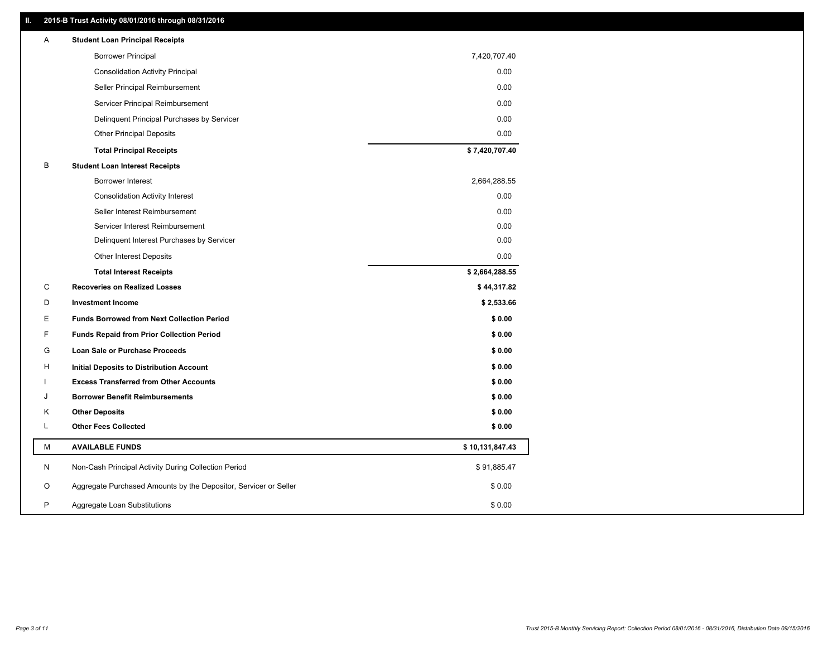### **II. 2015-B Trust Activity 08/01/2016 through 08/31/2016**

| <b>Borrower Principal</b><br>7,420,707.40<br>0.00<br><b>Consolidation Activity Principal</b><br>Seller Principal Reimbursement<br>0.00<br>Servicer Principal Reimbursement<br>0.00<br>0.00<br>Delinquent Principal Purchases by Servicer<br>0.00<br><b>Other Principal Deposits</b><br>\$7,420,707.40<br><b>Total Principal Receipts</b><br>B<br><b>Student Loan Interest Receipts</b><br><b>Borrower Interest</b><br>2,664,288.55 |  |
|------------------------------------------------------------------------------------------------------------------------------------------------------------------------------------------------------------------------------------------------------------------------------------------------------------------------------------------------------------------------------------------------------------------------------------|--|
|                                                                                                                                                                                                                                                                                                                                                                                                                                    |  |
|                                                                                                                                                                                                                                                                                                                                                                                                                                    |  |
|                                                                                                                                                                                                                                                                                                                                                                                                                                    |  |
|                                                                                                                                                                                                                                                                                                                                                                                                                                    |  |
|                                                                                                                                                                                                                                                                                                                                                                                                                                    |  |
|                                                                                                                                                                                                                                                                                                                                                                                                                                    |  |
|                                                                                                                                                                                                                                                                                                                                                                                                                                    |  |
|                                                                                                                                                                                                                                                                                                                                                                                                                                    |  |
|                                                                                                                                                                                                                                                                                                                                                                                                                                    |  |
| 0.00<br><b>Consolidation Activity Interest</b>                                                                                                                                                                                                                                                                                                                                                                                     |  |
| Seller Interest Reimbursement<br>0.00                                                                                                                                                                                                                                                                                                                                                                                              |  |
| Servicer Interest Reimbursement<br>0.00                                                                                                                                                                                                                                                                                                                                                                                            |  |
| 0.00<br>Delinquent Interest Purchases by Servicer                                                                                                                                                                                                                                                                                                                                                                                  |  |
| Other Interest Deposits<br>0.00                                                                                                                                                                                                                                                                                                                                                                                                    |  |
| \$2,664,288.55<br><b>Total Interest Receipts</b>                                                                                                                                                                                                                                                                                                                                                                                   |  |
| C<br><b>Recoveries on Realized Losses</b><br>\$44,317.82                                                                                                                                                                                                                                                                                                                                                                           |  |
| D<br><b>Investment Income</b><br>\$2,533.66                                                                                                                                                                                                                                                                                                                                                                                        |  |
| Е<br><b>Funds Borrowed from Next Collection Period</b><br>\$0.00                                                                                                                                                                                                                                                                                                                                                                   |  |
| F<br>\$0.00<br><b>Funds Repaid from Prior Collection Period</b>                                                                                                                                                                                                                                                                                                                                                                    |  |
| G<br>\$0.00<br>Loan Sale or Purchase Proceeds                                                                                                                                                                                                                                                                                                                                                                                      |  |
| \$0.00<br>н<br><b>Initial Deposits to Distribution Account</b>                                                                                                                                                                                                                                                                                                                                                                     |  |
| <b>Excess Transferred from Other Accounts</b><br>\$0.00                                                                                                                                                                                                                                                                                                                                                                            |  |
| <b>Borrower Benefit Reimbursements</b><br>\$0.00<br>J                                                                                                                                                                                                                                                                                                                                                                              |  |
| \$0.00<br>Κ<br><b>Other Deposits</b>                                                                                                                                                                                                                                                                                                                                                                                               |  |
| L<br><b>Other Fees Collected</b><br>\$0.00                                                                                                                                                                                                                                                                                                                                                                                         |  |
| М<br><b>AVAILABLE FUNDS</b><br>\$10,131,847.43                                                                                                                                                                                                                                                                                                                                                                                     |  |
| N<br>Non-Cash Principal Activity During Collection Period<br>\$91,885.47                                                                                                                                                                                                                                                                                                                                                           |  |
| O<br>Aggregate Purchased Amounts by the Depositor, Servicer or Seller<br>\$0.00                                                                                                                                                                                                                                                                                                                                                    |  |
| P<br>\$0.00<br>Aggregate Loan Substitutions                                                                                                                                                                                                                                                                                                                                                                                        |  |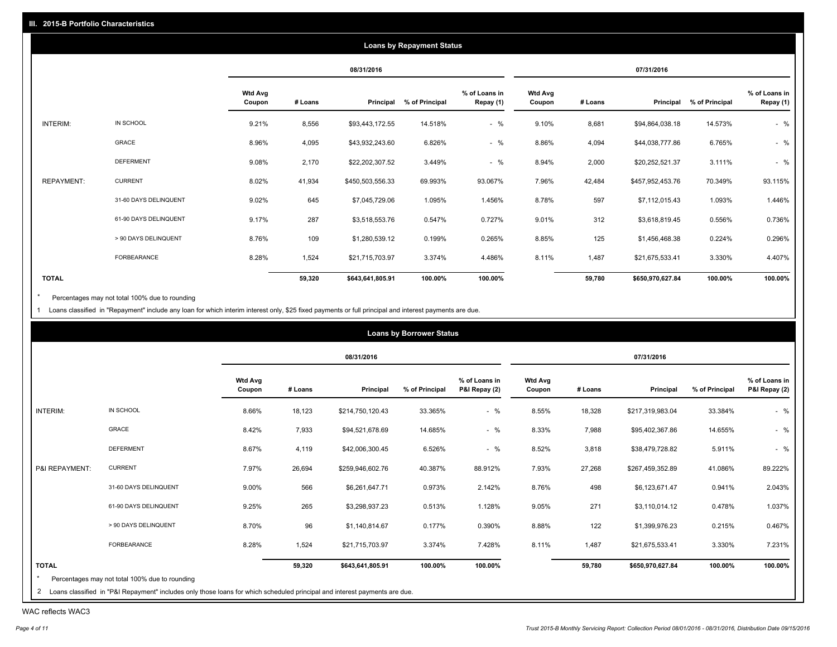|                   |                       |                          |         |                  | <b>Loans by Repayment Status</b> |                            |                          |         |                  |                |                            |
|-------------------|-----------------------|--------------------------|---------|------------------|----------------------------------|----------------------------|--------------------------|---------|------------------|----------------|----------------------------|
|                   |                       |                          |         | 08/31/2016       |                                  |                            |                          |         | 07/31/2016       |                |                            |
|                   |                       | <b>Wtd Avg</b><br>Coupon | # Loans | Principal        | % of Principal                   | % of Loans in<br>Repay (1) | <b>Wtd Avg</b><br>Coupon | # Loans | Principal        | % of Principal | % of Loans in<br>Repay (1) |
| INTERIM:          | IN SCHOOL             | 9.21%                    | 8,556   | \$93,443,172.55  | 14.518%                          | $-$ %                      | 9.10%                    | 8,681   | \$94,864,038.18  | 14.573%        | $-$ %                      |
|                   | GRACE                 | 8.96%                    | 4,095   | \$43,932,243.60  | 6.826%                           | $-$ %                      | 8.86%                    | 4,094   | \$44,038,777.86  | 6.765%         | $-$ %                      |
|                   | <b>DEFERMENT</b>      | 9.08%                    | 2,170   | \$22,202,307.52  | 3.449%                           | $-$ %                      | 8.94%                    | 2,000   | \$20,252,521.37  | 3.111%         | $-$ %                      |
| <b>REPAYMENT:</b> | <b>CURRENT</b>        | 8.02%                    | 41,934  | \$450,503,556.33 | 69.993%                          | 93.067%                    | 7.96%                    | 42,484  | \$457,952,453.76 | 70.349%        | 93.115%                    |
|                   | 31-60 DAYS DELINQUENT | 9.02%                    | 645     | \$7,045,729.06   | 1.095%                           | 1.456%                     | 8.78%                    | 597     | \$7,112,015.43   | 1.093%         | 1.446%                     |
|                   | 61-90 DAYS DELINQUENT | 9.17%                    | 287     | \$3,518,553.76   | 0.547%                           | 0.727%                     | 9.01%                    | 312     | \$3,618,819.45   | 0.556%         | 0.736%                     |
|                   | > 90 DAYS DELINQUENT  | 8.76%                    | 109     | \$1,280,539.12   | 0.199%                           | 0.265%                     | 8.85%                    | 125     | \$1,456,468.38   | 0.224%         | 0.296%                     |
|                   | <b>FORBEARANCE</b>    | 8.28%                    | 1,524   | \$21,715,703.97  | 3.374%                           | 4.486%                     | 8.11%                    | 1,487   | \$21,675,533.41  | 3.330%         | 4.407%                     |
| <b>TOTAL</b>      |                       |                          | 59,320  | \$643,641,805.91 | 100.00%                          | 100.00%                    |                          | 59,780  | \$650,970,627.84 | 100.00%        | 100.00%                    |

Percentages may not total 100% due to rounding  $^\star$ 

1 Loans classified in "Repayment" include any loan for which interim interest only, \$25 fixed payments or full principal and interest payments are due.

|                |                       |                          |         | 08/31/2016       |                |                                |                          |         | 07/31/2016       |                |                                |
|----------------|-----------------------|--------------------------|---------|------------------|----------------|--------------------------------|--------------------------|---------|------------------|----------------|--------------------------------|
|                |                       | <b>Wtd Avg</b><br>Coupon | # Loans | Principal        | % of Principal | % of Loans in<br>P&I Repay (2) | <b>Wtd Avg</b><br>Coupon | # Loans | Principal        | % of Principal | % of Loans in<br>P&I Repay (2) |
| INTERIM:       | IN SCHOOL             | 8.66%                    | 18,123  | \$214,750,120.43 | 33.365%        | $-$ %                          | 8.55%                    | 18,328  | \$217,319,983.04 | 33.384%        | $-$ %                          |
|                | GRACE                 | 8.42%                    | 7,933   | \$94,521,678.69  | 14.685%        | $-$ %                          | 8.33%                    | 7,988   | \$95,402,367.86  | 14.655%        | $-$ %                          |
|                | <b>DEFERMENT</b>      | 8.67%                    | 4,119   | \$42,006,300.45  | 6.526%         | $-$ %                          | 8.52%                    | 3,818   | \$38,479,728.82  | 5.911%         | $-$ %                          |
| P&I REPAYMENT: | <b>CURRENT</b>        | 7.97%                    | 26,694  | \$259,946,602.76 | 40.387%        | 88.912%                        | 7.93%                    | 27,268  | \$267,459,352.89 | 41.086%        | 89.222%                        |
|                | 31-60 DAYS DELINQUENT | 9.00%                    | 566     | \$6,261,647.71   | 0.973%         | 2.142%                         | 8.76%                    | 498     | \$6,123,671.47   | 0.941%         | 2.043%                         |
|                | 61-90 DAYS DELINQUENT | 9.25%                    | 265     | \$3,298,937.23   | 0.513%         | 1.128%                         | 9.05%                    | 271     | \$3,110,014.12   | 0.478%         | 1.037%                         |
|                | > 90 DAYS DELINQUENT  | 8.70%                    | 96      | \$1,140,814.67   | 0.177%         | 0.390%                         | 8.88%                    | 122     | \$1,399,976.23   | 0.215%         | 0.467%                         |
|                | FORBEARANCE           | 8.28%                    | 1,524   | \$21,715,703.97  | 3.374%         | 7.428%                         | 8.11%                    | 1,487   | \$21,675,533.41  | 3.330%         | 7.231%                         |
| <b>TOTAL</b>   |                       |                          | 59,320  | \$643,641,805.91 | 100.00%        | 100.00%                        |                          | 59,780  | \$650,970,627.84 | 100.00%        | 100.00%                        |

WAC reflects WAC3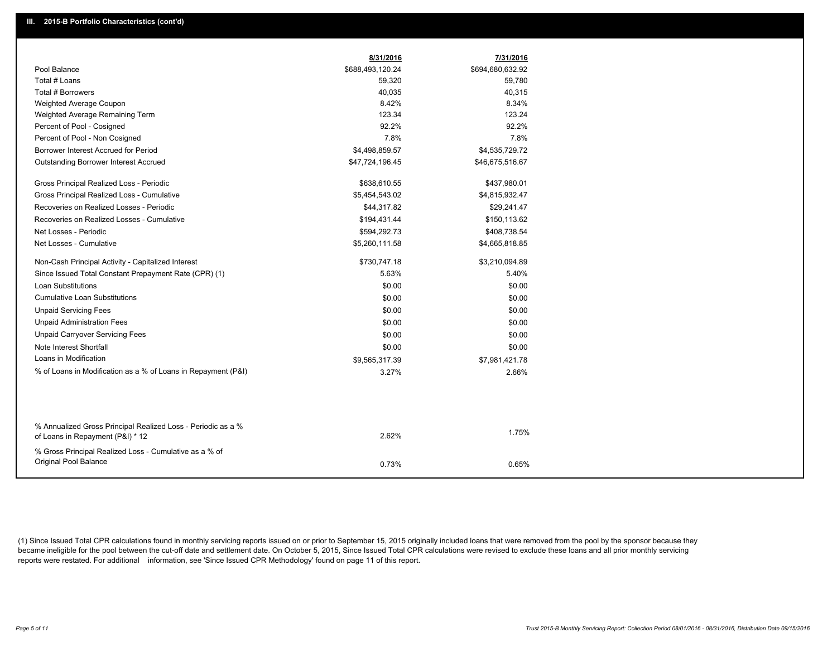|                                                               | 8/31/2016        | 7/31/2016        |
|---------------------------------------------------------------|------------------|------------------|
| Pool Balance                                                  | \$688,493,120.24 | \$694,680,632.92 |
| Total # Loans                                                 | 59,320           | 59,780           |
| Total # Borrowers                                             | 40,035           | 40,315           |
| Weighted Average Coupon                                       | 8.42%            | 8.34%            |
| Weighted Average Remaining Term                               | 123.34           | 123.24           |
| Percent of Pool - Cosigned                                    | 92.2%            | 92.2%            |
| Percent of Pool - Non Cosigned                                | 7.8%             | 7.8%             |
| Borrower Interest Accrued for Period                          | \$4,498,859.57   | \$4,535,729.72   |
| <b>Outstanding Borrower Interest Accrued</b>                  | \$47,724,196.45  | \$46,675,516.67  |
| Gross Principal Realized Loss - Periodic                      | \$638,610.55     | \$437,980.01     |
| Gross Principal Realized Loss - Cumulative                    | \$5,454,543.02   | \$4,815,932.47   |
| Recoveries on Realized Losses - Periodic                      | \$44,317.82      | \$29,241.47      |
| Recoveries on Realized Losses - Cumulative                    | \$194,431.44     | \$150,113.62     |
| Net Losses - Periodic                                         | \$594,292.73     | \$408,738.54     |
| Net Losses - Cumulative                                       | \$5,260,111.58   | \$4,665,818.85   |
| Non-Cash Principal Activity - Capitalized Interest            | \$730,747.18     | \$3,210,094.89   |
| Since Issued Total Constant Prepayment Rate (CPR) (1)         | 5.63%            | 5.40%            |
| Loan Substitutions                                            | \$0.00           | \$0.00           |
| <b>Cumulative Loan Substitutions</b>                          | \$0.00           | \$0.00           |
| <b>Unpaid Servicing Fees</b>                                  | \$0.00           | \$0.00           |
| <b>Unpaid Administration Fees</b>                             | \$0.00           | \$0.00           |
| <b>Unpaid Carryover Servicing Fees</b>                        | \$0.00           | \$0.00           |
| Note Interest Shortfall                                       | \$0.00           | \$0.00           |
| Loans in Modification                                         | \$9,565,317.39   | \$7,981,421.78   |
| % of Loans in Modification as a % of Loans in Repayment (P&I) | 3.27%            | 2.66%            |
|                                                               |                  |                  |
| % Annualized Gross Principal Realized Loss - Periodic as a %  |                  |                  |
| of Loans in Repayment (P&I) * 12                              | 2.62%            | 1.75%            |
| % Gross Principal Realized Loss - Cumulative as a % of        |                  |                  |
| Original Pool Balance                                         | 0.73%            | 0.65%            |

(1) Since Issued Total CPR calculations found in monthly servicing reports issued on or prior to September 15, 2015 originally included loans that were removed from the pool by the sponsor because they became ineligible for the pool between the cut-off date and settlement date. On October 5, 2015, Since Issued Total CPR calculations were revised to exclude these loans and all prior monthly servicing reports were restated. For additional information, see 'Since Issued CPR Methodology' found on page 11 of this report.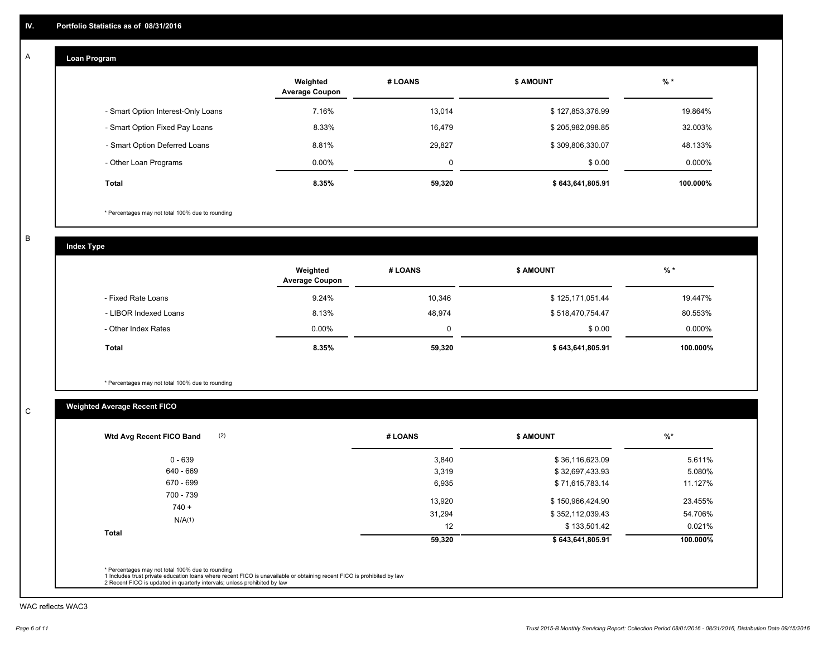#### **Loan Program**  A

|                                    | Weighted<br><b>Average Coupon</b> | # LOANS | <b>\$ AMOUNT</b> | $%$ *     |
|------------------------------------|-----------------------------------|---------|------------------|-----------|
| - Smart Option Interest-Only Loans | 7.16%                             | 13,014  | \$127,853,376.99 | 19.864%   |
| - Smart Option Fixed Pay Loans     | 8.33%                             | 16,479  | \$205,982,098.85 | 32.003%   |
| - Smart Option Deferred Loans      | 8.81%                             | 29.827  | \$309,806,330.07 | 48.133%   |
| - Other Loan Programs              | $0.00\%$                          | 0       | \$0.00           | $0.000\%$ |
| <b>Total</b>                       | 8.35%                             | 59,320  | \$643,641,805.91 | 100.000%  |

\* Percentages may not total 100% due to rounding

B

C

**Index Type**

|                       | Weighted<br><b>Average Coupon</b> | # LOANS | <b>\$ AMOUNT</b> | $%$ *    |
|-----------------------|-----------------------------------|---------|------------------|----------|
| - Fixed Rate Loans    | 9.24%                             | 10,346  | \$125,171,051.44 | 19.447%  |
| - LIBOR Indexed Loans | 8.13%                             | 48,974  | \$518,470,754.47 | 80.553%  |
| - Other Index Rates   | $0.00\%$                          | 0       | \$0.00           | 0.000%   |
| Total                 | 8.35%                             | 59,320  | \$643,641,805.91 | 100.000% |

\* Percentages may not total 100% due to rounding

## **Weighted Average Recent FICO**

| (2)<br>Wtd Avg Recent FICO Band | # LOANS | <b>\$ AMOUNT</b> | $%$ *    |
|---------------------------------|---------|------------------|----------|
| $0 - 639$                       | 3,840   | \$36,116,623.09  | 5.611%   |
| 640 - 669                       | 3,319   | \$32,697,433.93  | 5.080%   |
| 670 - 699                       | 6,935   | \$71,615,783.14  | 11.127%  |
| 700 - 739<br>$740 +$            | 13.920  | \$150,966,424.90 | 23.455%  |
| N/A(1)                          | 31,294  | \$352,112,039.43 | 54.706%  |
|                                 | 12      | \$133,501.42     | 0.021%   |
| <b>Total</b>                    | 59,320  | \$643,641,805.91 | 100.000% |

WAC reflects WAC3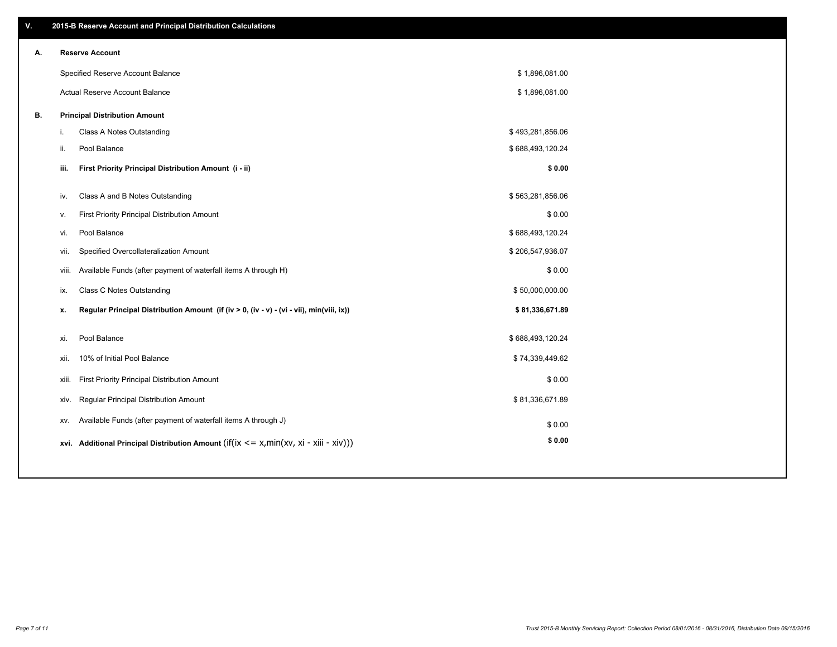| ۷. |                        | 2015-B Reserve Account and Principal Distribution Calculations                             |                  |  |
|----|------------------------|--------------------------------------------------------------------------------------------|------------------|--|
| А. | <b>Reserve Account</b> |                                                                                            |                  |  |
|    |                        | Specified Reserve Account Balance                                                          | \$1,896,081.00   |  |
|    |                        | Actual Reserve Account Balance                                                             | \$1,896,081.00   |  |
| В. |                        | <b>Principal Distribution Amount</b>                                                       |                  |  |
|    | i.                     | Class A Notes Outstanding                                                                  | \$493,281,856.06 |  |
|    | ii.<br>Pool Balance    |                                                                                            | \$688,493,120.24 |  |
|    | iii.                   | First Priority Principal Distribution Amount (i - ii)                                      | \$0.00           |  |
|    |                        |                                                                                            |                  |  |
|    | iv.                    | Class A and B Notes Outstanding                                                            | \$563,281,856.06 |  |
|    | v.                     | First Priority Principal Distribution Amount                                               | \$0.00           |  |
|    | Pool Balance<br>vi.    |                                                                                            | \$688,493,120.24 |  |
|    | vii.                   | Specified Overcollateralization Amount                                                     | \$206,547,936.07 |  |
|    | viii.                  | Available Funds (after payment of waterfall items A through H)                             | \$0.00           |  |
|    | ix.                    | <b>Class C Notes Outstanding</b>                                                           | \$50,000,000.00  |  |
|    | x.                     | Regular Principal Distribution Amount (if (iv > 0, (iv - v) - (vi - vii), min(viii, ix))   | \$81,336,671.89  |  |
|    | Pool Balance<br>xi.    |                                                                                            | \$688,493,120.24 |  |
|    | xii.                   | 10% of Initial Pool Balance                                                                | \$74,339,449.62  |  |
|    | xiii.                  | First Priority Principal Distribution Amount                                               | \$0.00           |  |
|    | xiv.                   | Regular Principal Distribution Amount                                                      | \$81,336,671.89  |  |
|    | XV.                    | Available Funds (after payment of waterfall items A through J)                             | \$0.00           |  |
|    |                        | xvi. Additional Principal Distribution Amount (if(ix $\lt$ = x, min(xv, xi - xiii - xiv))) | \$0.00           |  |
|    |                        |                                                                                            |                  |  |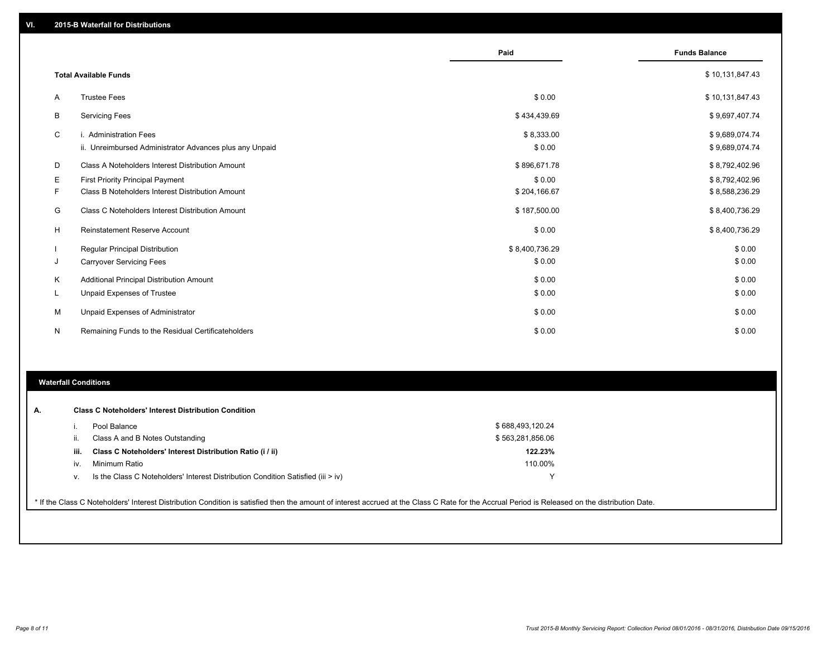|          |                                                         | Paid           | <b>Funds Balance</b> |
|----------|---------------------------------------------------------|----------------|----------------------|
|          |                                                         |                |                      |
|          | <b>Total Available Funds</b>                            |                | \$10,131,847.43      |
| A        | <b>Trustee Fees</b>                                     | \$0.00         | \$10,131,847.43      |
| B        | <b>Servicing Fees</b>                                   | \$434,439.69   | \$9,697,407.74       |
| C        | i. Administration Fees                                  | \$8,333.00     | \$9,689,074.74       |
|          | ii. Unreimbursed Administrator Advances plus any Unpaid | \$0.00         | \$9,689,074.74       |
| D        | Class A Noteholders Interest Distribution Amount        | \$896,671.78   | \$8,792,402.96       |
| Е        | <b>First Priority Principal Payment</b>                 | \$0.00         | \$8,792,402.96       |
| F        | Class B Noteholders Interest Distribution Amount        | \$204,166.67   | \$8,588,236.29       |
| G        | Class C Noteholders Interest Distribution Amount        | \$187,500.00   | \$8,400,736.29       |
| H        | <b>Reinstatement Reserve Account</b>                    | \$0.00         | \$8,400,736.29       |
|          | <b>Regular Principal Distribution</b>                   | \$8,400,736.29 | \$0.00               |
| J        | <b>Carryover Servicing Fees</b>                         | \$0.00         | \$0.00               |
| Κ        | Additional Principal Distribution Amount                | \$0.00         | \$0.00               |
| <b>L</b> | <b>Unpaid Expenses of Trustee</b>                       | \$0.00         | \$0.00               |
| М        | Unpaid Expenses of Administrator                        | \$0.00         | \$0.00               |
| N        | Remaining Funds to the Residual Certificateholders      | \$0.00         | \$0.00               |

#### **Waterfall Conditions**

|      | Pool Balance                                                                     | \$688,493,120.24 |  |
|------|----------------------------------------------------------------------------------|------------------|--|
| ш.   | Class A and B Notes Outstanding                                                  | \$563,281,856.06 |  |
| iii. | Class C Noteholders' Interest Distribution Ratio (i / ii)                        | 122.23%          |  |
| IV.  | Minimum Ratio                                                                    | 110.00%          |  |
| v.   | Is the Class C Noteholders' Interest Distribution Condition Satisfied (iii > iv) |                  |  |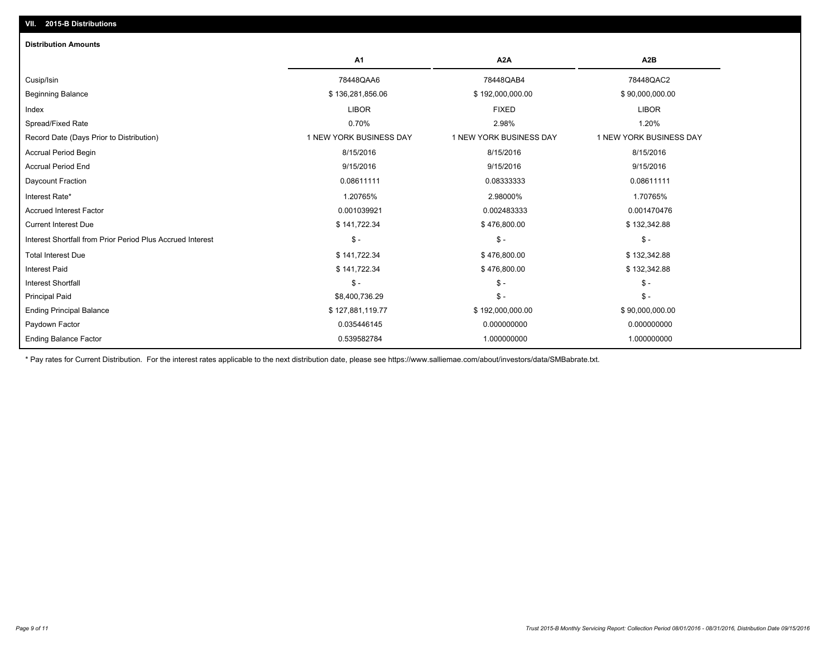| <b>Distribution Amounts</b>                                |                         |                         |                         |
|------------------------------------------------------------|-------------------------|-------------------------|-------------------------|
|                                                            | A1                      | A <sub>2</sub> A        | A <sub>2</sub> B        |
| Cusip/Isin                                                 | 78448QAA6               | 78448QAB4               | 78448QAC2               |
| <b>Beginning Balance</b>                                   | \$136,281,856.06        | \$192,000,000.00        | \$90,000,000.00         |
| Index                                                      | <b>LIBOR</b>            | <b>FIXED</b>            | <b>LIBOR</b>            |
| Spread/Fixed Rate                                          | 0.70%                   | 2.98%                   | 1.20%                   |
| Record Date (Days Prior to Distribution)                   | 1 NEW YORK BUSINESS DAY | 1 NEW YORK BUSINESS DAY | 1 NEW YORK BUSINESS DAY |
| <b>Accrual Period Begin</b>                                | 8/15/2016               | 8/15/2016               | 8/15/2016               |
| <b>Accrual Period End</b>                                  | 9/15/2016               | 9/15/2016               | 9/15/2016               |
| Daycount Fraction                                          | 0.08611111              | 0.08333333              | 0.08611111              |
| Interest Rate*                                             | 1.20765%                | 2.98000%                | 1.70765%                |
| <b>Accrued Interest Factor</b>                             | 0.001039921             | 0.002483333             | 0.001470476             |
| <b>Current Interest Due</b>                                | \$141,722.34            | \$476,800.00            | \$132,342.88            |
| Interest Shortfall from Prior Period Plus Accrued Interest | $\mathsf{\$}$ -         | $\mathcal{S}$ -         | $\mathcal{S}$ -         |
| <b>Total Interest Due</b>                                  | \$141,722.34            | \$476,800.00            | \$132,342.88            |
| <b>Interest Paid</b>                                       | \$141,722.34            | \$476,800.00            | \$132,342.88            |
| <b>Interest Shortfall</b>                                  | $\mathsf{s}$ -          | $\mathcal{S}$ -         | $$ -$                   |
| <b>Principal Paid</b>                                      | \$8,400,736.29          | $\mathsf{\$}$ -         | $\mathsf{\$}$ -         |
| <b>Ending Principal Balance</b>                            | \$127,881,119.77        | \$192,000,000.00        | \$90,000,000.00         |
| Paydown Factor                                             | 0.035446145             | 0.000000000             | 0.000000000             |
| <b>Ending Balance Factor</b>                               | 0.539582784             | 1.000000000             | 1.000000000             |

\* Pay rates for Current Distribution. For the interest rates applicable to the next distribution date, please see https://www.salliemae.com/about/investors/data/SMBabrate.txt.

**VII. 2015-B Distributions**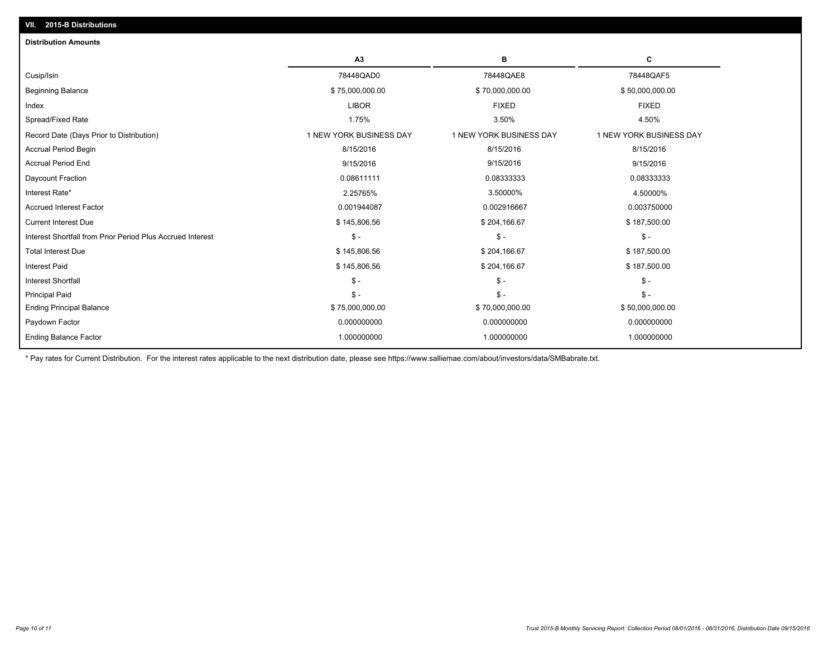| <b>Distribution Amounts</b>                                |                         |                         |                         |
|------------------------------------------------------------|-------------------------|-------------------------|-------------------------|
|                                                            | A <sub>3</sub>          | в                       | С                       |
| Cusip/Isin                                                 | 78448QAD0               | 78448QAE8               | 78448QAF5               |
| <b>Beginning Balance</b>                                   | \$75,000,000.00         | \$70,000,000.00         | \$50,000,000.00         |
| Index                                                      | <b>LIBOR</b>            | <b>FIXED</b>            | <b>FIXED</b>            |
| Spread/Fixed Rate                                          | 1.75%                   | 3.50%                   | 4.50%                   |
| Record Date (Days Prior to Distribution)                   | 1 NEW YORK BUSINESS DAY | 1 NEW YORK BUSINESS DAY | 1 NEW YORK BUSINESS DAY |
| <b>Accrual Period Begin</b>                                | 8/15/2016               | 8/15/2016               | 8/15/2016               |
| <b>Accrual Period End</b>                                  | 9/15/2016               | 9/15/2016               | 9/15/2016               |
| Daycount Fraction                                          | 0.08611111              | 0.08333333              | 0.08333333              |
| Interest Rate*                                             | 2.25765%                | 3.50000%                | 4.50000%                |
| <b>Accrued Interest Factor</b>                             | 0.001944087             | 0.002916667             | 0.003750000             |
| <b>Current Interest Due</b>                                | \$145,806.56            | \$204,166.67            | \$187,500.00            |
| Interest Shortfall from Prior Period Plus Accrued Interest | $$ -$                   | $\mathsf{\$}$ -         | $\mathsf{\$}$ -         |
| <b>Total Interest Due</b>                                  | \$145,806.56            | \$204,166.67            | \$187,500.00            |
| Interest Paid                                              | \$145,806.56            | \$204,166.67            | \$187,500.00            |
| <b>Interest Shortfall</b>                                  | $\mathsf{\$}$ -         | $\mathsf{\$}$ -         | $\mathsf{\$}$ -         |
| <b>Principal Paid</b>                                      | $\mathsf{\$}$ -         | $\mathsf{\$}$ -         | $S -$                   |
| <b>Ending Principal Balance</b>                            | \$75,000,000.00         | \$70,000,000.00         | \$50,000,000.00         |
| Paydown Factor                                             | 0.000000000             | 0.000000000             | 0.000000000             |
| <b>Ending Balance Factor</b>                               | 1.000000000             | 1.000000000             | 1.000000000             |
|                                                            |                         |                         |                         |

\* Pay rates for Current Distribution. For the interest rates applicable to the next distribution date, please see https://www.salliemae.com/about/investors/data/SMBabrate.txt.

**VII. 2015-B Distributions**